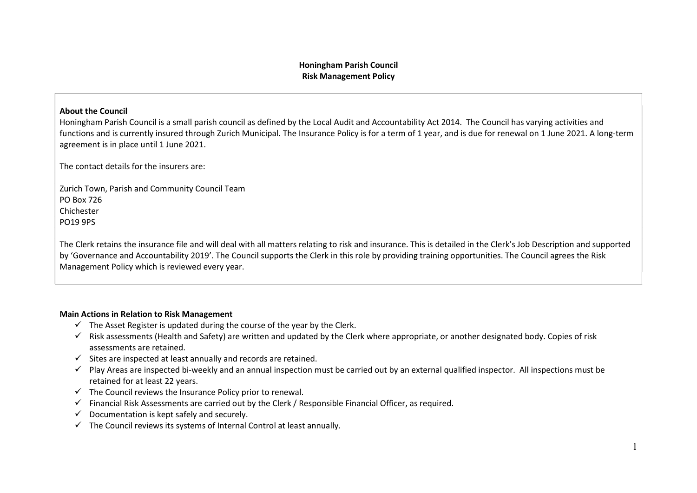### Honingham Parish Council Risk Management Policy

#### About the Council

Honingham Parish Council is a small parish council as defined by the Local Audit and Accountability Act 2014. The Council has varying activities and functions and is currently insured through Zurich Municipal. The Insurance Policy is for a term of 1 year, and is due for renewal on 1 June 2021. A long-term agreement is in place until 1 June 2021.

The contact details for the insurers are:

Zurich Town, Parish and Community Council Team PO Box 726 Chichester PO19 9PS

The Clerk retains the insurance file and will deal with all matters relating to risk and insurance. This is detailed in the Clerk's Job Description and supported by 'Governance and Accountability 2019'. The Council supports the Clerk in this role by providing training opportunities. The Council agrees the Risk Management Policy which is reviewed every year.

#### Main Actions in Relation to Risk Management

- $\checkmark$  The Asset Register is updated during the course of the year by the Clerk.
- $\checkmark$  Risk assessments (Health and Safety) are written and updated by the Clerk where appropriate, or another designated body. Copies of risk assessments are retained.
- $\checkmark$  Sites are inspected at least annually and records are retained.
- $\checkmark$  Play Areas are inspected bi-weekly and an annual inspection must be carried out by an external qualified inspector. All inspections must be retained for at least 22 years.
- $\checkmark$  The Council reviews the Insurance Policy prior to renewal.
- $\checkmark$  Financial Risk Assessments are carried out by the Clerk / Responsible Financial Officer, as required.
- $\checkmark$  Documentation is kept safely and securely.
- $\checkmark$  The Council reviews its systems of Internal Control at least annually.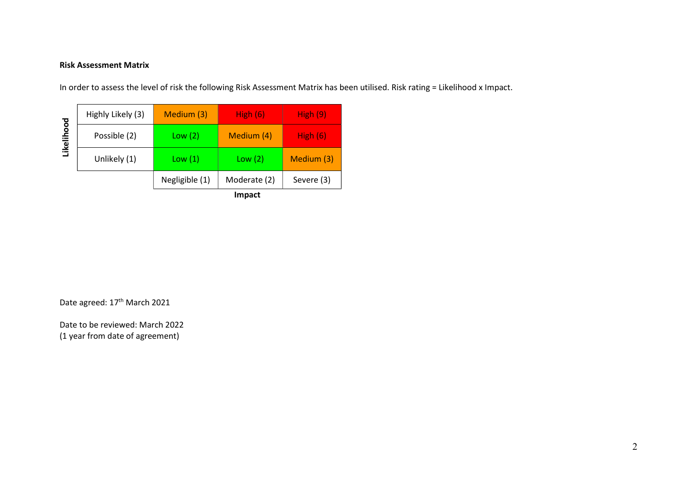## Risk Assessment Matrix

In order to assess the level of risk the following Risk Assessment Matrix has been utilised. Risk rating = Likelihood x Impact.

|            |                   |                | <b>Impact</b> |            |
|------------|-------------------|----------------|---------------|------------|
|            |                   | Negligible (1) | Moderate (2)  | Severe (3) |
| Likelihood | Unlikely (1)      | Low(1)         | Low(2)        | Medium (3) |
|            | Possible (2)      | Low(2)         | Medium (4)    | High $(6)$ |
|            | Highly Likely (3) | Medium (3)     | High $(6)$    | High(9)    |

Date agreed: 17<sup>th</sup> March 2021

Date to be reviewed: March 2022 (1 year from date of agreement)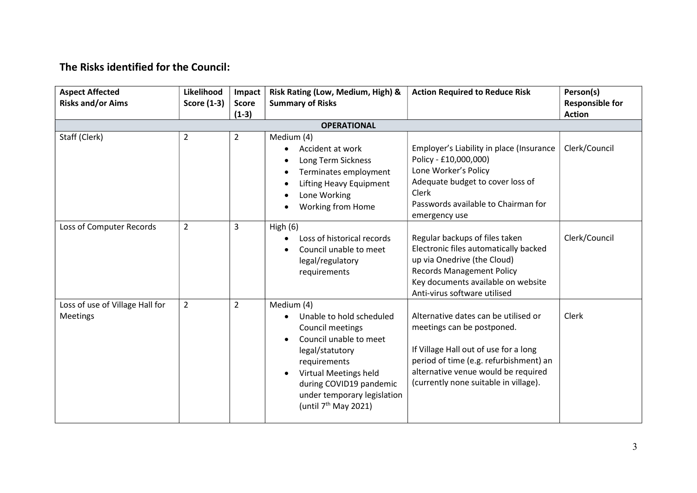# The Risks identified for the Council:

| <b>Aspect Affected</b><br><b>Risks and/or Aims</b> | Likelihood<br><b>Score (1-3)</b> | Impact<br><b>Score</b><br>$(1-3)$ | Risk Rating (Low, Medium, High) &<br><b>Summary of Risks</b>                                                                                                                                                                                                                | <b>Action Required to Reduce Risk</b>                                                                                                                                                                                                 | Person(s)<br><b>Responsible for</b><br><b>Action</b> |
|----------------------------------------------------|----------------------------------|-----------------------------------|-----------------------------------------------------------------------------------------------------------------------------------------------------------------------------------------------------------------------------------------------------------------------------|---------------------------------------------------------------------------------------------------------------------------------------------------------------------------------------------------------------------------------------|------------------------------------------------------|
|                                                    |                                  |                                   | <b>OPERATIONAL</b>                                                                                                                                                                                                                                                          |                                                                                                                                                                                                                                       |                                                      |
| Staff (Clerk)                                      | $\overline{2}$                   | $\overline{2}$                    | Medium (4)<br>Accident at work<br>$\bullet$<br>Long Term Sickness<br>$\bullet$<br>Terminates employment<br>$\bullet$<br><b>Lifting Heavy Equipment</b><br>$\bullet$<br>Lone Working<br>$\bullet$<br>Working from Home                                                       | Employer's Liability in place (Insurance<br>Policy - £10,000,000)<br>Lone Worker's Policy<br>Adequate budget to cover loss of<br>Clerk<br>Passwords available to Chairman for<br>emergency use                                        | Clerk/Council                                        |
| Loss of Computer Records                           | $\overline{2}$                   | 3                                 | High $(6)$<br>Loss of historical records<br>$\bullet$<br>Council unable to meet<br>$\bullet$<br>legal/regulatory<br>requirements                                                                                                                                            | Regular backups of files taken<br>Electronic files automatically backed<br>up via Onedrive (the Cloud)<br><b>Records Management Policy</b><br>Key documents available on website<br>Anti-virus software utilised                      | Clerk/Council                                        |
| Loss of use of Village Hall for<br>Meetings        | $\overline{2}$                   | $\overline{2}$                    | Medium (4)<br>Unable to hold scheduled<br>$\bullet$<br>Council meetings<br>Council unable to meet<br>$\bullet$<br>legal/statutory<br>requirements<br>Virtual Meetings held<br>$\bullet$<br>during COVID19 pandemic<br>under temporary legislation<br>(until $7th$ May 2021) | Alternative dates can be utilised or<br>meetings can be postponed.<br>If Village Hall out of use for a long<br>period of time (e.g. refurbishment) an<br>alternative venue would be required<br>(currently none suitable in village). | Clerk                                                |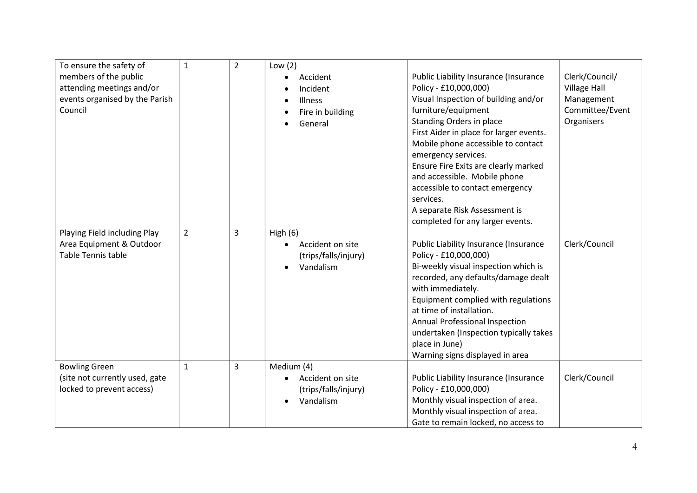| To ensure the safety of        | $\mathbf{1}$ | $\overline{2}$ | Low $(2)$            |                                         |                 |
|--------------------------------|--------------|----------------|----------------------|-----------------------------------------|-----------------|
| members of the public          |              |                | Accident             | Public Liability Insurance (Insurance   | Clerk/Council/  |
| attending meetings and/or      |              |                | Incident             | Policy - £10,000,000)                   | Village Hall    |
| events organised by the Parish |              |                | Illness              | Visual Inspection of building and/or    | Management      |
| Council                        |              |                | Fire in building     | furniture/equipment                     | Committee/Event |
|                                |              |                | General              | Standing Orders in place                | Organisers      |
|                                |              |                |                      | First Aider in place for larger events. |                 |
|                                |              |                |                      | Mobile phone accessible to contact      |                 |
|                                |              |                |                      | emergency services.                     |                 |
|                                |              |                |                      | Ensure Fire Exits are clearly marked    |                 |
|                                |              |                |                      | and accessible. Mobile phone            |                 |
|                                |              |                |                      | accessible to contact emergency         |                 |
|                                |              |                |                      | services.                               |                 |
|                                |              |                |                      | A separate Risk Assessment is           |                 |
|                                |              |                |                      | completed for any larger events.        |                 |
| Playing Field including Play   | $2^{\circ}$  | 3              | High $(6)$           |                                         |                 |
| Area Equipment & Outdoor       |              |                | Accident on site     | Public Liability Insurance (Insurance   | Clerk/Council   |
| Table Tennis table             |              |                | (trips/falls/injury) | Policy - £10,000,000)                   |                 |
|                                |              |                | Vandalism            | Bi-weekly visual inspection which is    |                 |
|                                |              |                |                      | recorded, any defaults/damage dealt     |                 |
|                                |              |                |                      | with immediately.                       |                 |
|                                |              |                |                      | Equipment complied with regulations     |                 |
|                                |              |                |                      | at time of installation.                |                 |
|                                |              |                |                      | Annual Professional Inspection          |                 |
|                                |              |                |                      | undertaken (Inspection typically takes  |                 |
|                                |              |                |                      | place in June)                          |                 |
|                                |              |                |                      | Warning signs displayed in area         |                 |
| <b>Bowling Green</b>           | $\mathbf{1}$ | 3              | Medium (4)           |                                         |                 |
| (site not currently used, gate |              |                | Accident on site     | Public Liability Insurance (Insurance   | Clerk/Council   |
| locked to prevent access)      |              |                | (trips/falls/injury) | Policy - £10,000,000)                   |                 |
|                                |              |                | Vandalism            | Monthly visual inspection of area.      |                 |
|                                |              |                |                      | Monthly visual inspection of area.      |                 |
|                                |              |                |                      | Gate to remain locked, no access to     |                 |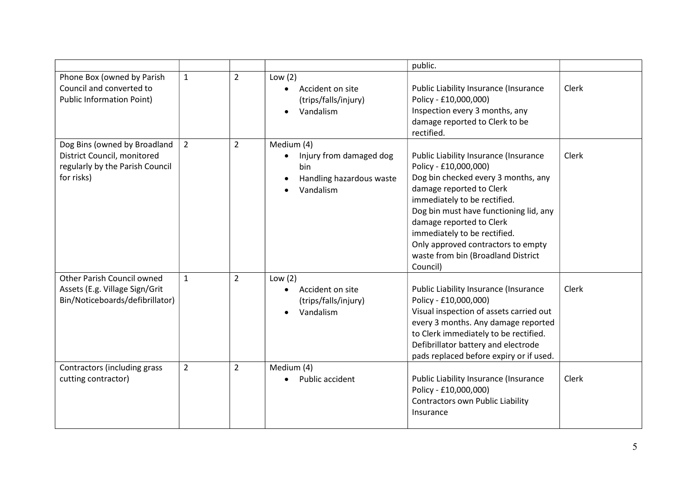|                                                                                                              |                |                |                                                                                                    | public.                                                                                                                                                                                                                                                                                                                                                         |              |
|--------------------------------------------------------------------------------------------------------------|----------------|----------------|----------------------------------------------------------------------------------------------------|-----------------------------------------------------------------------------------------------------------------------------------------------------------------------------------------------------------------------------------------------------------------------------------------------------------------------------------------------------------------|--------------|
| Phone Box (owned by Parish<br>Council and converted to<br><b>Public Information Point)</b>                   | $\mathbf{1}$   | $\overline{2}$ | Low $(2)$<br>Accident on site<br>$\bullet$<br>(trips/falls/injury)<br>Vandalism                    | Public Liability Insurance (Insurance<br>Policy - £10,000,000)<br>Inspection every 3 months, any<br>damage reported to Clerk to be<br>rectified.                                                                                                                                                                                                                | Clerk        |
| Dog Bins (owned by Broadland<br>District Council, monitored<br>regularly by the Parish Council<br>for risks) | $\overline{2}$ | $\overline{2}$ | Medium (4)<br>Injury from damaged dog<br>$\bullet$<br>bin<br>Handling hazardous waste<br>Vandalism | Public Liability Insurance (Insurance<br>Policy - £10,000,000)<br>Dog bin checked every 3 months, any<br>damage reported to Clerk<br>immediately to be rectified.<br>Dog bin must have functioning lid, any<br>damage reported to Clerk<br>immediately to be rectified.<br>Only approved contractors to empty<br>waste from bin (Broadland District<br>Council) | Clerk        |
| Other Parish Council owned<br>Assets (E.g. Village Sign/Grit<br>Bin/Noticeboards/defibrillator)              | $\mathbf{1}$   | $\overline{2}$ | Low $(2)$<br>Accident on site<br>$\bullet$<br>(trips/falls/injury)<br>Vandalism                    | Public Liability Insurance (Insurance<br>Policy - £10,000,000)<br>Visual inspection of assets carried out<br>every 3 months. Any damage reported<br>to Clerk immediately to be rectified.<br>Defibrillator battery and electrode<br>pads replaced before expiry or if used.                                                                                     | <b>Clerk</b> |
| Contractors (including grass<br>cutting contractor)                                                          | $\overline{2}$ | $\overline{2}$ | Medium (4)<br>Public accident                                                                      | Public Liability Insurance (Insurance<br>Policy - £10,000,000)<br><b>Contractors own Public Liability</b><br>Insurance                                                                                                                                                                                                                                          | Clerk        |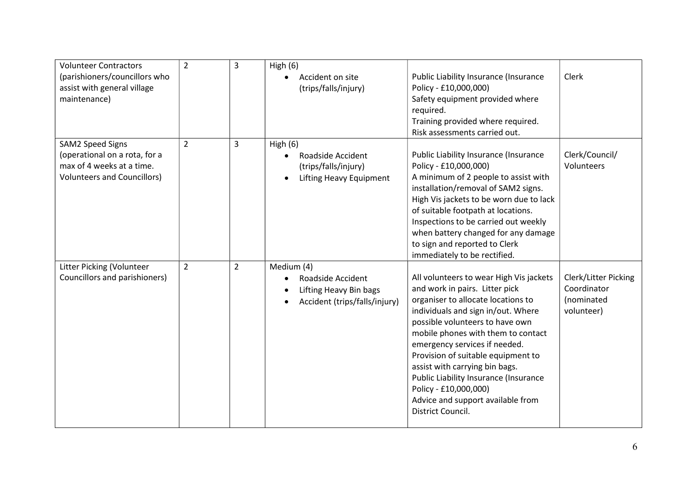| <b>Volunteer Contractors</b>       | $\overline{2}$ | $\overline{3}$ | High $(6)$                           |                                         |                      |
|------------------------------------|----------------|----------------|--------------------------------------|-----------------------------------------|----------------------|
| (parishioners/councillors who      |                |                | Accident on site                     | Public Liability Insurance (Insurance   | Clerk                |
| assist with general village        |                |                | (trips/falls/injury)                 | Policy - £10,000,000)                   |                      |
| maintenance)                       |                |                |                                      | Safety equipment provided where         |                      |
|                                    |                |                |                                      | required.                               |                      |
|                                    |                |                |                                      | Training provided where required.       |                      |
|                                    |                |                |                                      | Risk assessments carried out.           |                      |
| <b>SAM2 Speed Signs</b>            | $\overline{2}$ | 3              | High $(6)$                           |                                         |                      |
| (operational on a rota, for a      |                |                | Roadside Accident                    | Public Liability Insurance (Insurance   | Clerk/Council/       |
| max of 4 weeks at a time.          |                |                | (trips/falls/injury)                 | Policy - £10,000,000)                   | Volunteers           |
| <b>Volunteers and Councillors)</b> |                |                | Lifting Heavy Equipment<br>$\bullet$ | A minimum of 2 people to assist with    |                      |
|                                    |                |                |                                      | installation/removal of SAM2 signs.     |                      |
|                                    |                |                |                                      | High Vis jackets to be worn due to lack |                      |
|                                    |                |                |                                      | of suitable footpath at locations.      |                      |
|                                    |                |                |                                      | Inspections to be carried out weekly    |                      |
|                                    |                |                |                                      | when battery changed for any damage     |                      |
|                                    |                |                |                                      | to sign and reported to Clerk           |                      |
|                                    |                |                |                                      | immediately to be rectified.            |                      |
| Litter Picking (Volunteer          | $\overline{2}$ | $\overline{2}$ | Medium (4)                           |                                         |                      |
| Councillors and parishioners)      |                |                | Roadside Accident                    | All volunteers to wear High Vis jackets | Clerk/Litter Picking |
|                                    |                |                |                                      |                                         |                      |
|                                    |                |                | Lifting Heavy Bin bags               | and work in pairs. Litter pick          | Coordinator          |
|                                    |                |                | Accident (trips/falls/injury)        | organiser to allocate locations to      | (nominated           |
|                                    |                |                |                                      | individuals and sign in/out. Where      | volunteer)           |
|                                    |                |                |                                      | possible volunteers to have own         |                      |
|                                    |                |                |                                      | mobile phones with them to contact      |                      |
|                                    |                |                |                                      | emergency services if needed.           |                      |
|                                    |                |                |                                      | Provision of suitable equipment to      |                      |
|                                    |                |                |                                      | assist with carrying bin bags.          |                      |
|                                    |                |                |                                      | Public Liability Insurance (Insurance   |                      |
|                                    |                |                |                                      | Policy - £10,000,000)                   |                      |
|                                    |                |                |                                      | Advice and support available from       |                      |
|                                    |                |                |                                      | District Council.                       |                      |
|                                    |                |                |                                      |                                         |                      |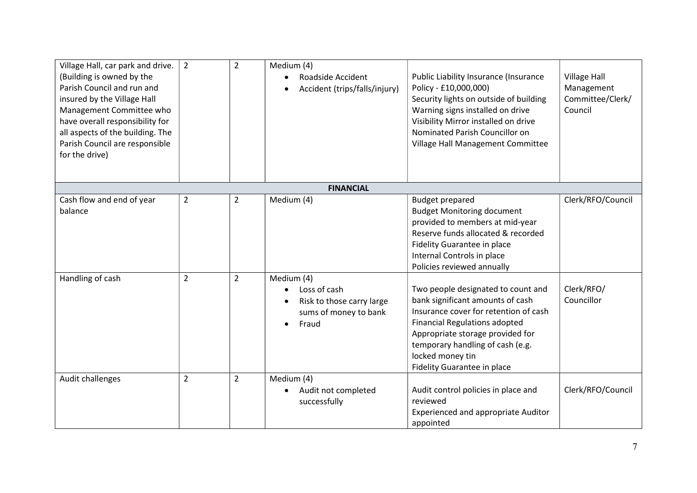| Village Hall, car park and drive.<br>(Building is owned by the<br>Parish Council and run and<br>insured by the Village Hall<br>Management Committee who<br>have overall responsibility for<br>all aspects of the building. The<br>Parish Council are responsible<br>for the drive) | $\overline{2}$ | $\overline{2}$ | Medium (4)<br>Roadside Accident<br>Accident (trips/falls/injury)                                       | Public Liability Insurance (Insurance<br>Policy - £10,000,000)<br>Security lights on outside of building<br>Warning signs installed on drive<br>Visibility Mirror installed on drive<br>Nominated Parish Councillor on<br>Village Hall Management Committee                        | <b>Village Hall</b><br>Management<br>Committee/Clerk/<br>Council |
|------------------------------------------------------------------------------------------------------------------------------------------------------------------------------------------------------------------------------------------------------------------------------------|----------------|----------------|--------------------------------------------------------------------------------------------------------|------------------------------------------------------------------------------------------------------------------------------------------------------------------------------------------------------------------------------------------------------------------------------------|------------------------------------------------------------------|
|                                                                                                                                                                                                                                                                                    |                |                | <b>FINANCIAL</b>                                                                                       |                                                                                                                                                                                                                                                                                    |                                                                  |
| Cash flow and end of year<br>balance                                                                                                                                                                                                                                               | $\overline{2}$ | $\overline{2}$ | Medium (4)                                                                                             | <b>Budget prepared</b><br><b>Budget Monitoring document</b><br>provided to members at mid-year<br>Reserve funds allocated & recorded<br>Fidelity Guarantee in place<br>Internal Controls in place<br>Policies reviewed annually                                                    | Clerk/RFO/Council                                                |
| Handling of cash                                                                                                                                                                                                                                                                   | $\overline{2}$ | $\overline{2}$ | Medium (4)<br>Loss of cash<br>$\bullet$<br>Risk to those carry large<br>sums of money to bank<br>Fraud | Two people designated to count and<br>bank significant amounts of cash<br>Insurance cover for retention of cash<br><b>Financial Regulations adopted</b><br>Appropriate storage provided for<br>temporary handling of cash (e.g.<br>locked money tin<br>Fidelity Guarantee in place | Clerk/RFO/<br>Councillor                                         |
| Audit challenges                                                                                                                                                                                                                                                                   | $\overline{2}$ | $\overline{2}$ | Medium (4)<br>Audit not completed<br>successfully                                                      | Audit control policies in place and<br>reviewed<br>Experienced and appropriate Auditor<br>appointed                                                                                                                                                                                | Clerk/RFO/Council                                                |